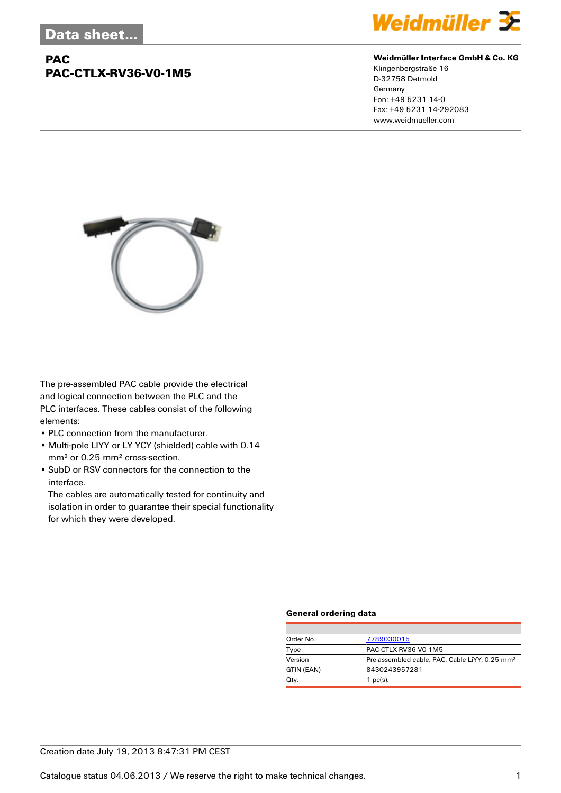## **PAC PAC-CTLX-RV36-V0-1M5**



## **Weidmüller Interface GmbH & Co. KG**

Klingenbergstraße 16 D-32758 Detmold Germany Fon: +49 5231 14-0 Fax: +49 5231 14-292083 www.weidmueller.com



The pre-assembled PAC cable provide the electrical and logical connection between the PLC and the PLC interfaces. These cables consist of the following elements:

- PLC connection from the manufacturer.
- Multi-pole LIYY or LY YCY (shielded) cable with 0.14 mm² or 0.25 mm² cross-section.
- SubD or RSV connectors for the connection to the interface.

The cables are automatically tested for continuity and isolation in order to guarantee their special functionality for which they were developed.

### **General ordering data**

| Order No.  | 7789030015                                                 |
|------------|------------------------------------------------------------|
| Type       | PAC-CTLX-RV36-V0-1M5                                       |
| Version    | Pre-assembled cable, PAC, Cable LiYY, 0.25 mm <sup>2</sup> |
| GTIN (EAN) | 8430243957281                                              |
| Qty.       | $1$ pc(s).                                                 |